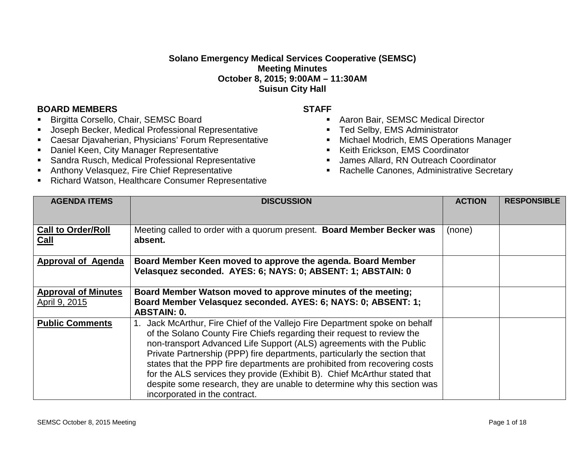## **Solano Emergency Medical Services Cooperative (SEMSC) Meeting Minutes October 8, 2015; 9:00AM – 11:30AM Suisun City Hall**

## **BOARD MEMBERS STAFF**

- Birgitta Corsello, Chair, SEMSC Board
- Joseph Becker, Medical Professional Representative
- Caesar Djavaherian, Physicians' Forum Representative
- **-** Daniel Keen, City Manager Representative
- Sandra Rusch, Medical Professional Representative
- Anthony Velasquez, Fire Chief Representative
- **Richard Watson, Healthcare Consumer Representative**

- Aaron Bair, SEMSC Medical Director
- **Ted Selby, EMS Administrator**
- **Michael Modrich, EMS Operations Manager**
- **Keith Erickson, EMS Coordinator**
- James Allard, RN Outreach Coordinator
- Rachelle Canones, Administrative Secretary

| <b>AGENDA ITEMS</b>                         | <b>DISCUSSION</b>                                                                                                                                                                                                                                                                                                                                                                                                                                                                                                                                                              | <b>ACTION</b> | <b>RESPONSIBLE</b> |
|---------------------------------------------|--------------------------------------------------------------------------------------------------------------------------------------------------------------------------------------------------------------------------------------------------------------------------------------------------------------------------------------------------------------------------------------------------------------------------------------------------------------------------------------------------------------------------------------------------------------------------------|---------------|--------------------|
| <b>Call to Order/Roll</b><br>Call           | Meeting called to order with a quorum present. Board Member Becker was<br>absent.                                                                                                                                                                                                                                                                                                                                                                                                                                                                                              | (none)        |                    |
| <b>Approval of Agenda</b>                   | Board Member Keen moved to approve the agenda. Board Member<br>Velasquez seconded. AYES: 6; NAYS: 0; ABSENT: 1; ABSTAIN: 0                                                                                                                                                                                                                                                                                                                                                                                                                                                     |               |                    |
| <b>Approval of Minutes</b><br>April 9, 2015 | Board Member Watson moved to approve minutes of the meeting;<br>Board Member Velasquez seconded. AYES: 6; NAYS: 0; ABSENT: 1;<br><b>ABSTAIN: 0.</b>                                                                                                                                                                                                                                                                                                                                                                                                                            |               |                    |
| <b>Public Comments</b>                      | Jack McArthur, Fire Chief of the Vallejo Fire Department spoke on behalf<br>of the Solano County Fire Chiefs regarding their request to review the<br>non-transport Advanced Life Support (ALS) agreements with the Public<br>Private Partnership (PPP) fire departments, particularly the section that<br>states that the PPP fire departments are prohibited from recovering costs<br>for the ALS services they provide (Exhibit B). Chief McArthur stated that<br>despite some research, they are unable to determine why this section was<br>incorporated in the contract. |               |                    |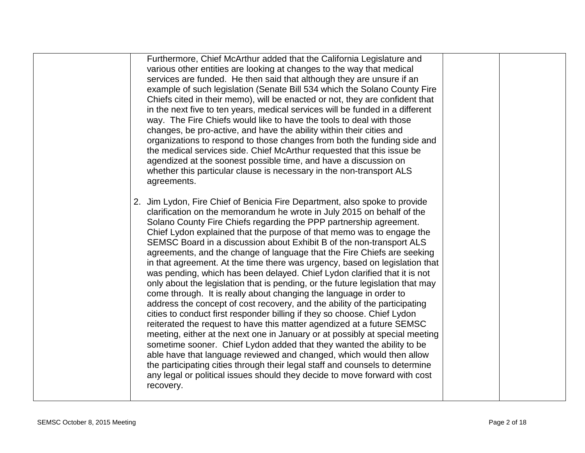| way. The Fire Chiefs would like to have the tools to deal with those<br>changes, be pro-active, and have the ability within their cities and<br>organizations to respond to those changes from both the funding side and<br>the medical services side. Chief McArthur requested that this issue be<br>agendized at the soonest possible time, and have a discussion on<br>whether this particular clause is necessary in the non-transport ALS<br>agreements.<br>2. Jim Lydon, Fire Chief of Benicia Fire Department, also spoke to provide<br>clarification on the memorandum he wrote in July 2015 on behalf of the<br>Solano County Fire Chiefs regarding the PPP partnership agreement.<br>Chief Lydon explained that the purpose of that memo was to engage the<br>SEMSC Board in a discussion about Exhibit B of the non-transport ALS<br>agreements, and the change of language that the Fire Chiefs are seeking<br>in that agreement. At the time there was urgency, based on legislation that<br>was pending, which has been delayed. Chief Lydon clarified that it is not<br>only about the legislation that is pending, or the future legislation that may<br>come through. It is really about changing the language in order to |  |
|---------------------------------------------------------------------------------------------------------------------------------------------------------------------------------------------------------------------------------------------------------------------------------------------------------------------------------------------------------------------------------------------------------------------------------------------------------------------------------------------------------------------------------------------------------------------------------------------------------------------------------------------------------------------------------------------------------------------------------------------------------------------------------------------------------------------------------------------------------------------------------------------------------------------------------------------------------------------------------------------------------------------------------------------------------------------------------------------------------------------------------------------------------------------------------------------------------------------------------------------|--|
| address the concept of cost recovery, and the ability of the participating<br>cities to conduct first responder billing if they so choose. Chief Lydon<br>reiterated the request to have this matter agendized at a future SEMSC<br>meeting, either at the next one in January or at possibly at special meeting<br>sometime sooner. Chief Lydon added that they wanted the ability to be<br>able have that language reviewed and changed, which would then allow<br>the participating cities through their legal staff and counsels to determine<br>any legal or political issues should they decide to move forward with cost<br>recovery.                                                                                                                                                                                                                                                                                                                                                                                                                                                                                                                                                                                                |  |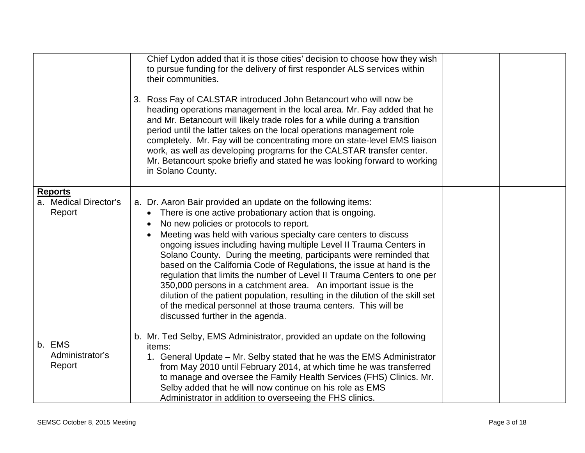|                                                   | Chief Lydon added that it is those cities' decision to choose how they wish<br>to pursue funding for the delivery of first responder ALS services within<br>their communities.                                                                                                                                                                                                                                                                                                                                                                                                                                                                                                                                                                                                                                              |  |
|---------------------------------------------------|-----------------------------------------------------------------------------------------------------------------------------------------------------------------------------------------------------------------------------------------------------------------------------------------------------------------------------------------------------------------------------------------------------------------------------------------------------------------------------------------------------------------------------------------------------------------------------------------------------------------------------------------------------------------------------------------------------------------------------------------------------------------------------------------------------------------------------|--|
|                                                   | 3. Ross Fay of CALSTAR introduced John Betancourt who will now be<br>heading operations management in the local area. Mr. Fay added that he<br>and Mr. Betancourt will likely trade roles for a while during a transition<br>period until the latter takes on the local operations management role<br>completely. Mr. Fay will be concentrating more on state-level EMS liaison<br>work, as well as developing programs for the CALSTAR transfer center.<br>Mr. Betancourt spoke briefly and stated he was looking forward to working<br>in Solano County.                                                                                                                                                                                                                                                                  |  |
| <b>Reports</b><br>a. Medical Director's<br>Report | a. Dr. Aaron Bair provided an update on the following items:<br>There is one active probationary action that is ongoing.<br>$\bullet$<br>No new policies or protocols to report.<br>$\bullet$<br>Meeting was held with various specialty care centers to discuss<br>ongoing issues including having multiple Level II Trauma Centers in<br>Solano County. During the meeting, participants were reminded that<br>based on the California Code of Regulations, the issue at hand is the<br>regulation that limits the number of Level II Trauma Centers to one per<br>350,000 persons in a catchment area. An important issue is the<br>dilution of the patient population, resulting in the dilution of the skill set<br>of the medical personnel at those trauma centers. This will be<br>discussed further in the agenda. |  |
| b. EMS<br>Administrator's<br>Report               | b. Mr. Ted Selby, EMS Administrator, provided an update on the following<br>items:<br>1. General Update - Mr. Selby stated that he was the EMS Administrator<br>from May 2010 until February 2014, at which time he was transferred<br>to manage and oversee the Family Health Services (FHS) Clinics. Mr.<br>Selby added that he will now continue on his role as EMS<br>Administrator in addition to overseeing the FHS clinics.                                                                                                                                                                                                                                                                                                                                                                                          |  |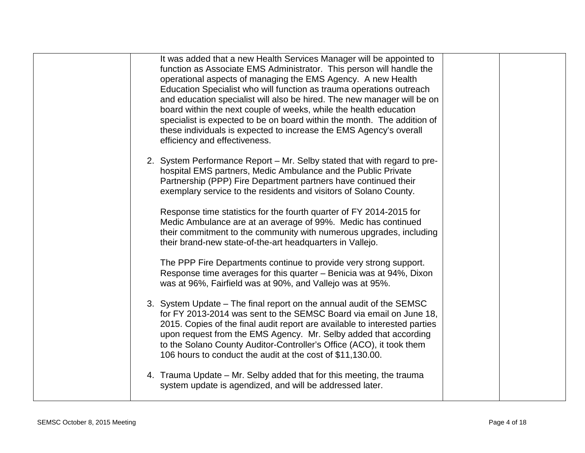| It was added that a new Health Services Manager will be appointed to<br>function as Associate EMS Administrator. This person will handle the<br>operational aspects of managing the EMS Agency. A new Health<br>Education Specialist who will function as trauma operations outreach<br>and education specialist will also be hired. The new manager will be on<br>board within the next couple of weeks, while the health education<br>specialist is expected to be on board within the month. The addition of<br>these individuals is expected to increase the EMS Agency's overall<br>efficiency and effectiveness.                                                                                   |
|----------------------------------------------------------------------------------------------------------------------------------------------------------------------------------------------------------------------------------------------------------------------------------------------------------------------------------------------------------------------------------------------------------------------------------------------------------------------------------------------------------------------------------------------------------------------------------------------------------------------------------------------------------------------------------------------------------|
| 2. System Performance Report – Mr. Selby stated that with regard to pre-<br>hospital EMS partners, Medic Ambulance and the Public Private<br>Partnership (PPP) Fire Department partners have continued their<br>exemplary service to the residents and visitors of Solano County.<br>Response time statistics for the fourth quarter of FY 2014-2015 for<br>Medic Ambulance are at an average of 99%. Medic has continued<br>their commitment to the community with numerous upgrades, including                                                                                                                                                                                                         |
| their brand-new state-of-the-art headquarters in Vallejo.<br>The PPP Fire Departments continue to provide very strong support.<br>Response time averages for this quarter – Benicia was at 94%, Dixon<br>was at 96%, Fairfield was at 90%, and Vallejo was at 95%.<br>3. System Update – The final report on the annual audit of the SEMSC<br>for FY 2013-2014 was sent to the SEMSC Board via email on June 18,<br>2015. Copies of the final audit report are available to interested parties<br>upon request from the EMS Agency. Mr. Selby added that according<br>to the Solano County Auditor-Controller's Office (ACO), it took them<br>106 hours to conduct the audit at the cost of \$11,130.00. |
| 4. Trauma Update – Mr. Selby added that for this meeting, the trauma<br>system update is agendized, and will be addressed later.                                                                                                                                                                                                                                                                                                                                                                                                                                                                                                                                                                         |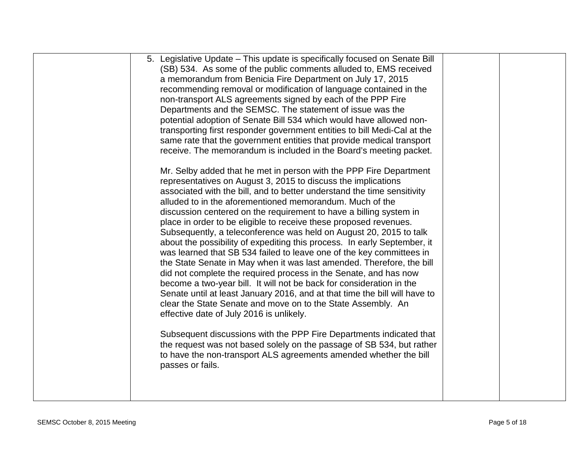| 5. Legislative Update - This update is specifically focused on Senate Bill<br>(SB) 534. As some of the public comments alluded to, EMS received<br>a memorandum from Benicia Fire Department on July 17, 2015<br>recommending removal or modification of language contained in the<br>non-transport ALS agreements signed by each of the PPP Fire<br>Departments and the SEMSC. The statement of issue was the<br>potential adoption of Senate Bill 534 which would have allowed non-<br>transporting first responder government entities to bill Medi-Cal at the<br>same rate that the government entities that provide medical transport<br>receive. The memorandum is included in the Board's meeting packet.<br>Mr. Selby added that he met in person with the PPP Fire Department                                                                                                                                                                                                   |  |
|------------------------------------------------------------------------------------------------------------------------------------------------------------------------------------------------------------------------------------------------------------------------------------------------------------------------------------------------------------------------------------------------------------------------------------------------------------------------------------------------------------------------------------------------------------------------------------------------------------------------------------------------------------------------------------------------------------------------------------------------------------------------------------------------------------------------------------------------------------------------------------------------------------------------------------------------------------------------------------------|--|
| representatives on August 3, 2015 to discuss the implications<br>associated with the bill, and to better understand the time sensitivity<br>alluded to in the aforementioned memorandum. Much of the<br>discussion centered on the requirement to have a billing system in<br>place in order to be eligible to receive these proposed revenues.<br>Subsequently, a teleconference was held on August 20, 2015 to talk<br>about the possibility of expediting this process. In early September, it<br>was learned that SB 534 failed to leave one of the key committees in<br>the State Senate in May when it was last amended. Therefore, the bill<br>did not complete the required process in the Senate, and has now<br>become a two-year bill. It will not be back for consideration in the<br>Senate until at least January 2016, and at that time the bill will have to<br>clear the State Senate and move on to the State Assembly. An<br>effective date of July 2016 is unlikely. |  |
| Subsequent discussions with the PPP Fire Departments indicated that<br>the request was not based solely on the passage of SB 534, but rather<br>to have the non-transport ALS agreements amended whether the bill<br>passes or fails.                                                                                                                                                                                                                                                                                                                                                                                                                                                                                                                                                                                                                                                                                                                                                    |  |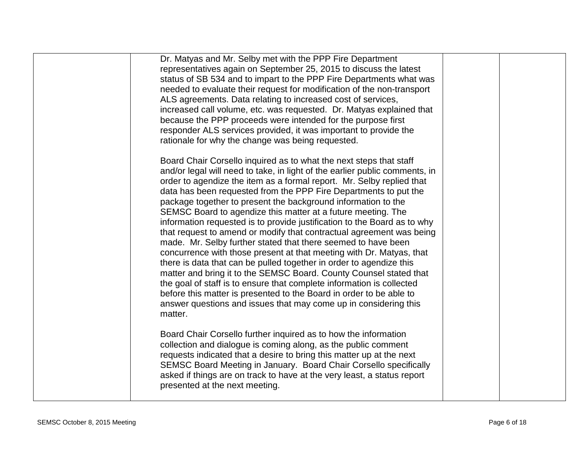| Dr. Matyas and Mr. Selby met with the PPP Fire Department<br>representatives again on September 25, 2015 to discuss the latest<br>status of SB 534 and to impart to the PPP Fire Departments what was<br>needed to evaluate their request for modification of the non-transport<br>ALS agreements. Data relating to increased cost of services,<br>increased call volume, etc. was requested. Dr. Matyas explained that<br>because the PPP proceeds were intended for the purpose first<br>responder ALS services provided, it was important to provide the<br>rationale for why the change was being requested.                                                                                                                                                                                                                                                                                                                                                                                                                                                                                         |  |
|----------------------------------------------------------------------------------------------------------------------------------------------------------------------------------------------------------------------------------------------------------------------------------------------------------------------------------------------------------------------------------------------------------------------------------------------------------------------------------------------------------------------------------------------------------------------------------------------------------------------------------------------------------------------------------------------------------------------------------------------------------------------------------------------------------------------------------------------------------------------------------------------------------------------------------------------------------------------------------------------------------------------------------------------------------------------------------------------------------|--|
| Board Chair Corsello inquired as to what the next steps that staff<br>and/or legal will need to take, in light of the earlier public comments, in<br>order to agendize the item as a formal report. Mr. Selby replied that<br>data has been requested from the PPP Fire Departments to put the<br>package together to present the background information to the<br>SEMSC Board to agendize this matter at a future meeting. The<br>information requested is to provide justification to the Board as to why<br>that request to amend or modify that contractual agreement was being<br>made. Mr. Selby further stated that there seemed to have been<br>concurrence with those present at that meeting with Dr. Matyas, that<br>there is data that can be pulled together in order to agendize this<br>matter and bring it to the SEMSC Board. County Counsel stated that<br>the goal of staff is to ensure that complete information is collected<br>before this matter is presented to the Board in order to be able to<br>answer questions and issues that may come up in considering this<br>matter. |  |
| Board Chair Corsello further inquired as to how the information<br>collection and dialogue is coming along, as the public comment<br>requests indicated that a desire to bring this matter up at the next<br>SEMSC Board Meeting in January. Board Chair Corsello specifically<br>asked if things are on track to have at the very least, a status report<br>presented at the next meeting.                                                                                                                                                                                                                                                                                                                                                                                                                                                                                                                                                                                                                                                                                                              |  |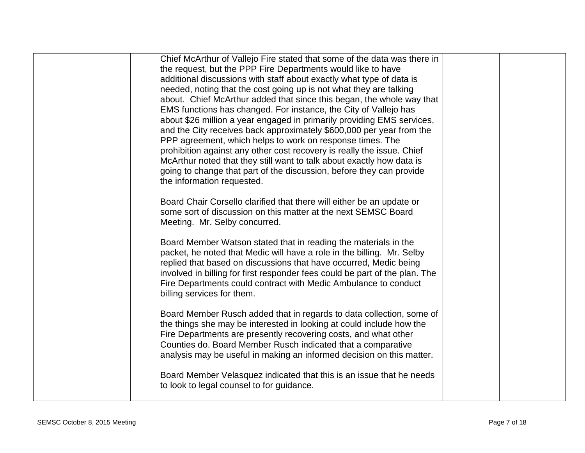| Chief McArthur of Vallejo Fire stated that some of the data was there in<br>the request, but the PPP Fire Departments would like to have<br>additional discussions with staff about exactly what type of data is<br>needed, noting that the cost going up is not what they are talking<br>about. Chief McArthur added that since this began, the whole way that<br>EMS functions has changed. For instance, the City of Vallejo has<br>about \$26 million a year engaged in primarily providing EMS services,<br>and the City receives back approximately \$600,000 per year from the<br>PPP agreement, which helps to work on response times. The<br>prohibition against any other cost recovery is really the issue. Chief<br>McArthur noted that they still want to talk about exactly how data is<br>going to change that part of the discussion, before they can provide<br>the information requested. |  |
|-------------------------------------------------------------------------------------------------------------------------------------------------------------------------------------------------------------------------------------------------------------------------------------------------------------------------------------------------------------------------------------------------------------------------------------------------------------------------------------------------------------------------------------------------------------------------------------------------------------------------------------------------------------------------------------------------------------------------------------------------------------------------------------------------------------------------------------------------------------------------------------------------------------|--|
| Board Chair Corsello clarified that there will either be an update or<br>some sort of discussion on this matter at the next SEMSC Board<br>Meeting. Mr. Selby concurred.                                                                                                                                                                                                                                                                                                                                                                                                                                                                                                                                                                                                                                                                                                                                    |  |
| Board Member Watson stated that in reading the materials in the<br>packet, he noted that Medic will have a role in the billing. Mr. Selby<br>replied that based on discussions that have occurred, Medic being<br>involved in billing for first responder fees could be part of the plan. The<br>Fire Departments could contract with Medic Ambulance to conduct<br>billing services for them.                                                                                                                                                                                                                                                                                                                                                                                                                                                                                                              |  |
| Board Member Rusch added that in regards to data collection, some of<br>the things she may be interested in looking at could include how the<br>Fire Departments are presently recovering costs, and what other<br>Counties do. Board Member Rusch indicated that a comparative<br>analysis may be useful in making an informed decision on this matter.                                                                                                                                                                                                                                                                                                                                                                                                                                                                                                                                                    |  |
| Board Member Velasquez indicated that this is an issue that he needs<br>to look to legal counsel to for guidance.                                                                                                                                                                                                                                                                                                                                                                                                                                                                                                                                                                                                                                                                                                                                                                                           |  |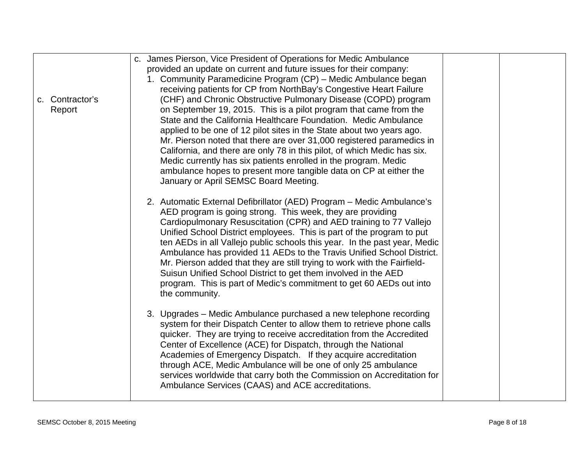|                 | c. James Pierson, Vice President of Operations for Medic Ambulance        |  |
|-----------------|---------------------------------------------------------------------------|--|
|                 | provided an update on current and future issues for their company:        |  |
|                 | 1. Community Paramedicine Program (CP) - Medic Ambulance began            |  |
|                 | receiving patients for CP from NorthBay's Congestive Heart Failure        |  |
| c. Contractor's | (CHF) and Chronic Obstructive Pulmonary Disease (COPD) program            |  |
| Report          | on September 19, 2015. This is a pilot program that came from the         |  |
|                 | State and the California Healthcare Foundation. Medic Ambulance           |  |
|                 | applied to be one of 12 pilot sites in the State about two years ago.     |  |
|                 | Mr. Pierson noted that there are over 31,000 registered paramedics in     |  |
|                 | California, and there are only 78 in this pilot, of which Medic has six.  |  |
|                 | Medic currently has six patients enrolled in the program. Medic           |  |
|                 | ambulance hopes to present more tangible data on CP at either the         |  |
|                 | January or April SEMSC Board Meeting.                                     |  |
|                 |                                                                           |  |
|                 | 2. Automatic External Defibrillator (AED) Program - Medic Ambulance's     |  |
|                 | AED program is going strong. This week, they are providing                |  |
|                 | Cardiopulmonary Resuscitation (CPR) and AED training to 77 Vallejo        |  |
|                 | Unified School District employees. This is part of the program to put     |  |
|                 | ten AEDs in all Vallejo public schools this year. In the past year, Medic |  |
|                 | Ambulance has provided 11 AEDs to the Travis Unified School District.     |  |
|                 | Mr. Pierson added that they are still trying to work with the Fairfield-  |  |
|                 | Suisun Unified School District to get them involved in the AED            |  |
|                 | program. This is part of Medic's commitment to get 60 AEDs out into       |  |
|                 | the community.                                                            |  |
|                 |                                                                           |  |
|                 | 3. Upgrades – Medic Ambulance purchased a new telephone recording         |  |
|                 | system for their Dispatch Center to allow them to retrieve phone calls    |  |
|                 | quicker. They are trying to receive accreditation from the Accredited     |  |
|                 | Center of Excellence (ACE) for Dispatch, through the National             |  |
|                 | Academies of Emergency Dispatch. If they acquire accreditation            |  |
|                 | through ACE, Medic Ambulance will be one of only 25 ambulance             |  |
|                 | services worldwide that carry both the Commission on Accreditation for    |  |
|                 | Ambulance Services (CAAS) and ACE accreditations.                         |  |
|                 |                                                                           |  |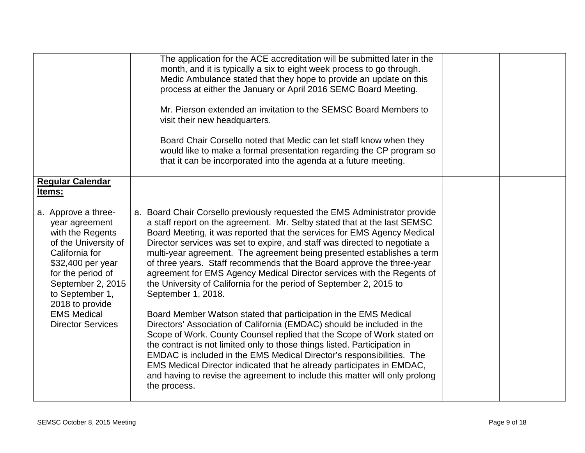|                                                                                                                                                                                                                                                            | The application for the ACE accreditation will be submitted later in the                                                                                                                                                                                                                                                                                                                                                                                                                                                                                                                                                                                                                                                                                                                                                                                                                                                                                                                                                                                                                                                                                                                         |  |
|------------------------------------------------------------------------------------------------------------------------------------------------------------------------------------------------------------------------------------------------------------|--------------------------------------------------------------------------------------------------------------------------------------------------------------------------------------------------------------------------------------------------------------------------------------------------------------------------------------------------------------------------------------------------------------------------------------------------------------------------------------------------------------------------------------------------------------------------------------------------------------------------------------------------------------------------------------------------------------------------------------------------------------------------------------------------------------------------------------------------------------------------------------------------------------------------------------------------------------------------------------------------------------------------------------------------------------------------------------------------------------------------------------------------------------------------------------------------|--|
|                                                                                                                                                                                                                                                            | month, and it is typically a six to eight week process to go through.<br>Medic Ambulance stated that they hope to provide an update on this                                                                                                                                                                                                                                                                                                                                                                                                                                                                                                                                                                                                                                                                                                                                                                                                                                                                                                                                                                                                                                                      |  |
|                                                                                                                                                                                                                                                            | process at either the January or April 2016 SEMC Board Meeting.                                                                                                                                                                                                                                                                                                                                                                                                                                                                                                                                                                                                                                                                                                                                                                                                                                                                                                                                                                                                                                                                                                                                  |  |
|                                                                                                                                                                                                                                                            |                                                                                                                                                                                                                                                                                                                                                                                                                                                                                                                                                                                                                                                                                                                                                                                                                                                                                                                                                                                                                                                                                                                                                                                                  |  |
|                                                                                                                                                                                                                                                            | Mr. Pierson extended an invitation to the SEMSC Board Members to<br>visit their new headquarters.                                                                                                                                                                                                                                                                                                                                                                                                                                                                                                                                                                                                                                                                                                                                                                                                                                                                                                                                                                                                                                                                                                |  |
|                                                                                                                                                                                                                                                            | Board Chair Corsello noted that Medic can let staff know when they<br>would like to make a formal presentation regarding the CP program so<br>that it can be incorporated into the agenda at a future meeting.                                                                                                                                                                                                                                                                                                                                                                                                                                                                                                                                                                                                                                                                                                                                                                                                                                                                                                                                                                                   |  |
|                                                                                                                                                                                                                                                            |                                                                                                                                                                                                                                                                                                                                                                                                                                                                                                                                                                                                                                                                                                                                                                                                                                                                                                                                                                                                                                                                                                                                                                                                  |  |
| <b>Regular Calendar</b><br>Items:                                                                                                                                                                                                                          |                                                                                                                                                                                                                                                                                                                                                                                                                                                                                                                                                                                                                                                                                                                                                                                                                                                                                                                                                                                                                                                                                                                                                                                                  |  |
|                                                                                                                                                                                                                                                            |                                                                                                                                                                                                                                                                                                                                                                                                                                                                                                                                                                                                                                                                                                                                                                                                                                                                                                                                                                                                                                                                                                                                                                                                  |  |
| a. Approve a three-<br>year agreement<br>with the Regents<br>of the University of<br>California for<br>\$32,400 per year<br>for the period of<br>September 2, 2015<br>to September 1,<br>2018 to provide<br><b>EMS Medical</b><br><b>Director Services</b> | a. Board Chair Corsello previously requested the EMS Administrator provide<br>a staff report on the agreement. Mr. Selby stated that at the last SEMSC<br>Board Meeting, it was reported that the services for EMS Agency Medical<br>Director services was set to expire, and staff was directed to negotiate a<br>multi-year agreement. The agreement being presented establishes a term<br>of three years. Staff recommends that the Board approve the three-year<br>agreement for EMS Agency Medical Director services with the Regents of<br>the University of California for the period of September 2, 2015 to<br>September 1, 2018.<br>Board Member Watson stated that participation in the EMS Medical<br>Directors' Association of California (EMDAC) should be included in the<br>Scope of Work. County Counsel replied that the Scope of Work stated on<br>the contract is not limited only to those things listed. Participation in<br>EMDAC is included in the EMS Medical Director's responsibilities. The<br>EMS Medical Director indicated that he already participates in EMDAC,<br>and having to revise the agreement to include this matter will only prolong<br>the process. |  |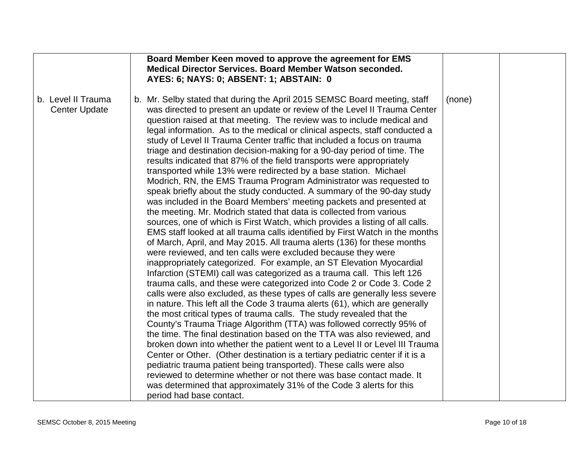|                                            | Board Member Keen moved to approve the agreement for EMS<br>Medical Director Services. Board Member Watson seconded.<br>AYES: 6; NAYS: 0; ABSENT: 1; ABSTAIN: 0                                                                                                                                             |        |  |
|--------------------------------------------|-------------------------------------------------------------------------------------------------------------------------------------------------------------------------------------------------------------------------------------------------------------------------------------------------------------|--------|--|
| b. Level II Trauma<br><b>Center Update</b> | b. Mr. Selby stated that during the April 2015 SEMSC Board meeting, staff<br>was directed to present an update or review of the Level II Trauma Center                                                                                                                                                      | (none) |  |
|                                            | question raised at that meeting. The review was to include medical and<br>legal information. As to the medical or clinical aspects, staff conducted a<br>study of Level II Trauma Center traffic that included a focus on trauma<br>triage and destination decision-making for a 90-day period of time. The |        |  |
|                                            | results indicated that 87% of the field transports were appropriately<br>transported while 13% were redirected by a base station. Michael<br>Modrich, RN, the EMS Trauma Program Administrator was requested to                                                                                             |        |  |
|                                            | speak briefly about the study conducted. A summary of the 90-day study<br>was included in the Board Members' meeting packets and presented at<br>the meeting. Mr. Modrich stated that data is collected from various                                                                                        |        |  |
|                                            | sources, one of which is First Watch, which provides a listing of all calls.<br>EMS staff looked at all trauma calls identified by First Watch in the months<br>of March, April, and May 2015. All trauma alerts (136) for these months                                                                     |        |  |
|                                            | were reviewed, and ten calls were excluded because they were<br>inappropriately categorized. For example, an ST Elevation Myocardial<br>Infarction (STEMI) call was categorized as a trauma call. This left 126<br>trauma calls, and these were categorized into Code 2 or Code 3. Code 2                   |        |  |
|                                            | calls were also excluded, as these types of calls are generally less severe<br>in nature. This left all the Code 3 trauma alerts (61), which are generally<br>the most critical types of trauma calls. The study revealed that the                                                                          |        |  |
|                                            | County's Trauma Triage Algorithm (TTA) was followed correctly 95% of<br>the time. The final destination based on the TTA was also reviewed, and<br>broken down into whether the patient went to a Level II or Level III Trauma                                                                              |        |  |
|                                            | Center or Other. (Other destination is a tertiary pediatric center if it is a<br>pediatric trauma patient being transported). These calls were also<br>reviewed to determine whether or not there was base contact made. It                                                                                 |        |  |
|                                            | was determined that approximately 31% of the Code 3 alerts for this<br>period had base contact.                                                                                                                                                                                                             |        |  |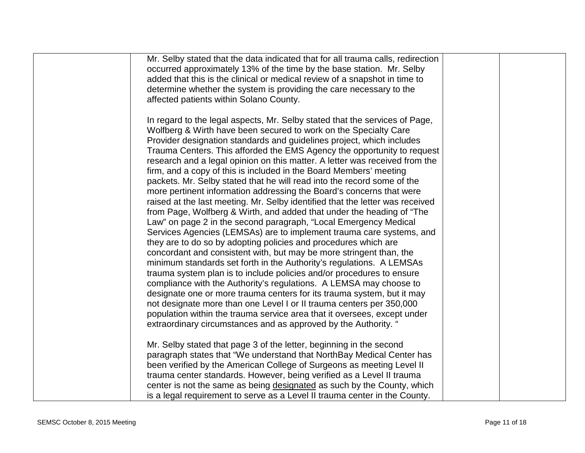| In regard to the legal aspects, Mr. Selby stated that the services of Page,<br>Wolfberg & Wirth have been secured to work on the Specialty Care<br>Provider designation standards and guidelines project, which includes<br>Trauma Centers. This afforded the EMS Agency the opportunity to request<br>research and a legal opinion on this matter. A letter was received from the<br>firm, and a copy of this is included in the Board Members' meeting<br>packets. Mr. Selby stated that he will read into the record some of the<br>more pertinent information addressing the Board's concerns that were |
|-------------------------------------------------------------------------------------------------------------------------------------------------------------------------------------------------------------------------------------------------------------------------------------------------------------------------------------------------------------------------------------------------------------------------------------------------------------------------------------------------------------------------------------------------------------------------------------------------------------|
|                                                                                                                                                                                                                                                                                                                                                                                                                                                                                                                                                                                                             |
| raised at the last meeting. Mr. Selby identified that the letter was received<br>from Page, Wolfberg & Wirth, and added that under the heading of "The<br>Law" on page 2 in the second paragraph, "Local Emergency Medical<br>Services Agencies (LEMSAs) are to implement trauma care systems, and<br>they are to do so by adopting policies and procedures which are                                                                                                                                                                                                                                       |
| concordant and consistent with, but may be more stringent than, the<br>minimum standards set forth in the Authority's regulations. A LEMSAs<br>trauma system plan is to include policies and/or procedures to ensure<br>compliance with the Authority's regulations. A LEMSA may choose to<br>designate one or more trauma centers for its trauma system, but it may<br>not designate more than one Level I or II trauma centers per 350,000<br>population within the trauma service area that it oversees, except under                                                                                    |
| extraordinary circumstances and as approved by the Authority. "<br>Mr. Selby stated that page 3 of the letter, beginning in the second<br>paragraph states that "We understand that NorthBay Medical Center has<br>been verified by the American College of Surgeons as meeting Level II<br>trauma center standards. However, being verified as a Level II trauma<br>center is not the same as being designated as such by the County, which                                                                                                                                                                |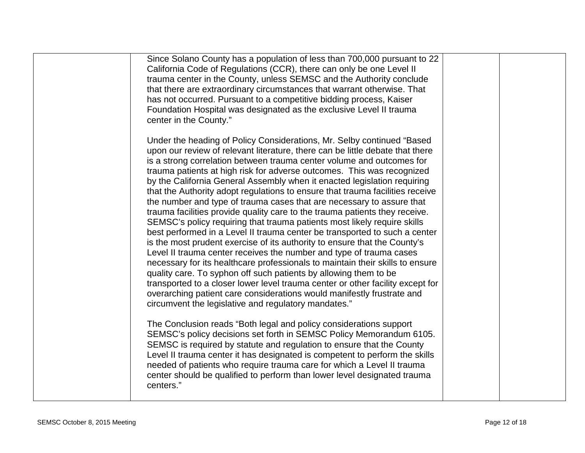| Since Solano County has a population of less than 700,000 pursuant to 22<br>California Code of Regulations (CCR), there can only be one Level II<br>trauma center in the County, unless SEMSC and the Authority conclude<br>that there are extraordinary circumstances that warrant otherwise. That<br>has not occurred. Pursuant to a competitive bidding process, Kaiser<br>Foundation Hospital was designated as the exclusive Level II trauma<br>center in the County."                                                                                                                                                                                                                                                                                                                                                                                                                                                                                                                                                                                                                                                                                                                                                                                                                                            |  |
|------------------------------------------------------------------------------------------------------------------------------------------------------------------------------------------------------------------------------------------------------------------------------------------------------------------------------------------------------------------------------------------------------------------------------------------------------------------------------------------------------------------------------------------------------------------------------------------------------------------------------------------------------------------------------------------------------------------------------------------------------------------------------------------------------------------------------------------------------------------------------------------------------------------------------------------------------------------------------------------------------------------------------------------------------------------------------------------------------------------------------------------------------------------------------------------------------------------------------------------------------------------------------------------------------------------------|--|
| Under the heading of Policy Considerations, Mr. Selby continued "Based<br>upon our review of relevant literature, there can be little debate that there<br>is a strong correlation between trauma center volume and outcomes for<br>trauma patients at high risk for adverse outcomes. This was recognized<br>by the California General Assembly when it enacted legislation requiring<br>that the Authority adopt regulations to ensure that trauma facilities receive<br>the number and type of trauma cases that are necessary to assure that<br>trauma facilities provide quality care to the trauma patients they receive.<br>SEMSC's policy requiring that trauma patients most likely require skills<br>best performed in a Level II trauma center be transported to such a center<br>is the most prudent exercise of its authority to ensure that the County's<br>Level II trauma center receives the number and type of trauma cases<br>necessary for its healthcare professionals to maintain their skills to ensure<br>quality care. To syphon off such patients by allowing them to be<br>transported to a closer lower level trauma center or other facility except for<br>overarching patient care considerations would manifestly frustrate and<br>circumvent the legislative and regulatory mandates." |  |
| The Conclusion reads "Both legal and policy considerations support<br>SEMSC's policy decisions set forth in SEMSC Policy Memorandum 6105.<br>SEMSC is required by statute and regulation to ensure that the County<br>Level II trauma center it has designated is competent to perform the skills<br>needed of patients who require trauma care for which a Level II trauma<br>center should be qualified to perform than lower level designated trauma<br>centers."                                                                                                                                                                                                                                                                                                                                                                                                                                                                                                                                                                                                                                                                                                                                                                                                                                                   |  |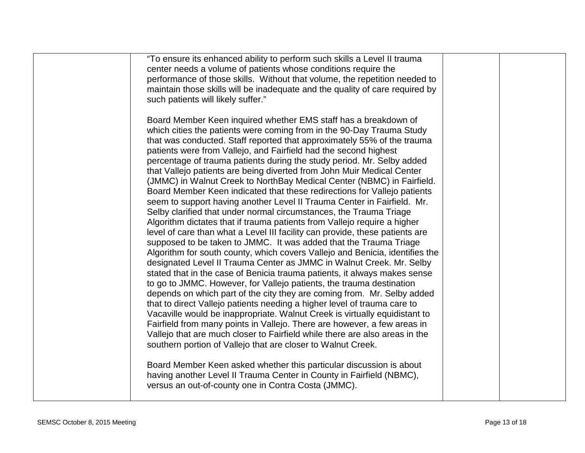| "To ensure its enhanced ability to perform such skills a Level II trauma<br>center needs a volume of patients whose conditions require the<br>performance of those skills. Without that volume, the repetition needed to<br>maintain those skills will be inadequate and the quality of care required by<br>such patients will likely suffer."                                                                                                                                                                                                                                                                                                                                                                                                                                                                                                                                                                                                                                                                                                                                                                                                                                                                                                                                                   |  |
|--------------------------------------------------------------------------------------------------------------------------------------------------------------------------------------------------------------------------------------------------------------------------------------------------------------------------------------------------------------------------------------------------------------------------------------------------------------------------------------------------------------------------------------------------------------------------------------------------------------------------------------------------------------------------------------------------------------------------------------------------------------------------------------------------------------------------------------------------------------------------------------------------------------------------------------------------------------------------------------------------------------------------------------------------------------------------------------------------------------------------------------------------------------------------------------------------------------------------------------------------------------------------------------------------|--|
| Board Member Keen inquired whether EMS staff has a breakdown of<br>which cities the patients were coming from in the 90-Day Trauma Study<br>that was conducted. Staff reported that approximately 55% of the trauma<br>patients were from Vallejo, and Fairfield had the second highest<br>percentage of trauma patients during the study period. Mr. Selby added<br>that Vallejo patients are being diverted from John Muir Medical Center<br>(JMMC) in Walnut Creek to NorthBay Medical Center (NBMC) in Fairfield.<br>Board Member Keen indicated that these redirections for Vallejo patients<br>seem to support having another Level II Trauma Center in Fairfield. Mr.<br>Selby clarified that under normal circumstances, the Trauma Triage<br>Algorithm dictates that if trauma patients from Vallejo require a higher<br>level of care than what a Level III facility can provide, these patients are<br>supposed to be taken to JMMC. It was added that the Trauma Triage<br>Algorithm for south county, which covers Vallejo and Benicia, identifies the<br>designated Level II Trauma Center as JMMC in Walnut Creek. Mr. Selby<br>stated that in the case of Benicia trauma patients, it always makes sense<br>to go to JMMC. However, for Vallejo patients, the trauma destination |  |
| depends on which part of the city they are coming from. Mr. Selby added<br>that to direct Vallejo patients needing a higher level of trauma care to<br>Vacaville would be inappropriate. Walnut Creek is virtually equidistant to<br>Fairfield from many points in Vallejo. There are however, a few areas in<br>Vallejo that are much closer to Fairfield while there are also areas in the<br>southern portion of Vallejo that are closer to Walnut Creek.<br>Board Member Keen asked whether this particular discussion is about                                                                                                                                                                                                                                                                                                                                                                                                                                                                                                                                                                                                                                                                                                                                                              |  |
| having another Level II Trauma Center in County in Fairfield (NBMC),<br>versus an out-of-county one in Contra Costa (JMMC).                                                                                                                                                                                                                                                                                                                                                                                                                                                                                                                                                                                                                                                                                                                                                                                                                                                                                                                                                                                                                                                                                                                                                                      |  |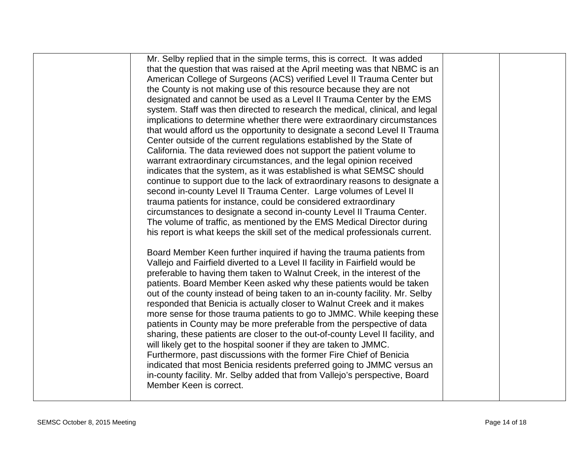| Mr. Selby replied that in the simple terms, this is correct. It was added      |  |
|--------------------------------------------------------------------------------|--|
| that the question that was raised at the April meeting was that NBMC is an     |  |
| American College of Surgeons (ACS) verified Level II Trauma Center but         |  |
| the County is not making use of this resource because they are not             |  |
| designated and cannot be used as a Level II Trauma Center by the EMS           |  |
| system. Staff was then directed to research the medical, clinical, and legal   |  |
| implications to determine whether there were extraordinary circumstances       |  |
| that would afford us the opportunity to designate a second Level II Trauma     |  |
| Center outside of the current regulations established by the State of          |  |
| California. The data reviewed does not support the patient volume to           |  |
| warrant extraordinary circumstances, and the legal opinion received            |  |
| indicates that the system, as it was established is what SEMSC should          |  |
| continue to support due to the lack of extraordinary reasons to designate a    |  |
| second in-county Level II Trauma Center. Large volumes of Level II             |  |
| trauma patients for instance, could be considered extraordinary                |  |
| circumstances to designate a second in-county Level II Trauma Center.          |  |
| The volume of traffic, as mentioned by the EMS Medical Director during         |  |
| his report is what keeps the skill set of the medical professionals current.   |  |
| Board Member Keen further inquired if having the trauma patients from          |  |
| Vallejo and Fairfield diverted to a Level II facility in Fairfield would be    |  |
| preferable to having them taken to Walnut Creek, in the interest of the        |  |
| patients. Board Member Keen asked why these patients would be taken            |  |
| out of the county instead of being taken to an in-county facility. Mr. Selby   |  |
| responded that Benicia is actually closer to Walnut Creek and it makes         |  |
| more sense for those trauma patients to go to JMMC. While keeping these        |  |
| patients in County may be more preferable from the perspective of data         |  |
| sharing, these patients are closer to the out-of-county Level II facility, and |  |
| will likely get to the hospital sooner if they are taken to JMMC.              |  |
| Furthermore, past discussions with the former Fire Chief of Benicia            |  |
| indicated that most Benicia residents preferred going to JMMC versus an        |  |
| in-county facility. Mr. Selby added that from Vallejo's perspective, Board     |  |
| Member Keen is correct.                                                        |  |
|                                                                                |  |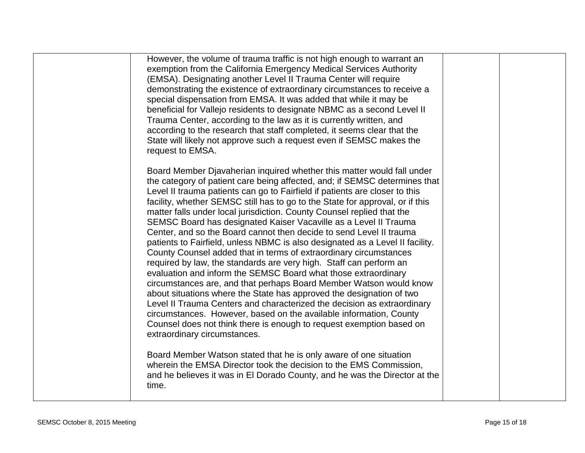| However, the volume of trauma traffic is not high enough to warrant an<br>exemption from the California Emergency Medical Services Authority<br>(EMSA). Designating another Level II Trauma Center will require<br>demonstrating the existence of extraordinary circumstances to receive a<br>special dispensation from EMSA. It was added that while it may be<br>beneficial for Vallejo residents to designate NBMC as a second Level II<br>Trauma Center, according to the law as it is currently written, and<br>according to the research that staff completed, it seems clear that the<br>State will likely not approve such a request even if SEMSC makes the<br>request to EMSA.                                                                                                                                                                                                                                                                                                                                                                                                                                                                                                                                                       |  |
|------------------------------------------------------------------------------------------------------------------------------------------------------------------------------------------------------------------------------------------------------------------------------------------------------------------------------------------------------------------------------------------------------------------------------------------------------------------------------------------------------------------------------------------------------------------------------------------------------------------------------------------------------------------------------------------------------------------------------------------------------------------------------------------------------------------------------------------------------------------------------------------------------------------------------------------------------------------------------------------------------------------------------------------------------------------------------------------------------------------------------------------------------------------------------------------------------------------------------------------------|--|
| Board Member Djavaherian inquired whether this matter would fall under<br>the category of patient care being affected, and; if SEMSC determines that<br>Level II trauma patients can go to Fairfield if patients are closer to this<br>facility, whether SEMSC still has to go to the State for approval, or if this<br>matter falls under local jurisdiction. County Counsel replied that the<br>SEMSC Board has designated Kaiser Vacaville as a Level II Trauma<br>Center, and so the Board cannot then decide to send Level II trauma<br>patients to Fairfield, unless NBMC is also designated as a Level II facility.<br>County Counsel added that in terms of extraordinary circumstances<br>required by law, the standards are very high. Staff can perform an<br>evaluation and inform the SEMSC Board what those extraordinary<br>circumstances are, and that perhaps Board Member Watson would know<br>about situations where the State has approved the designation of two<br>Level II Trauma Centers and characterized the decision as extraordinary<br>circumstances. However, based on the available information, County<br>Counsel does not think there is enough to request exemption based on<br>extraordinary circumstances. |  |
| Board Member Watson stated that he is only aware of one situation<br>wherein the EMSA Director took the decision to the EMS Commission,<br>and he believes it was in El Dorado County, and he was the Director at the<br>time.                                                                                                                                                                                                                                                                                                                                                                                                                                                                                                                                                                                                                                                                                                                                                                                                                                                                                                                                                                                                                 |  |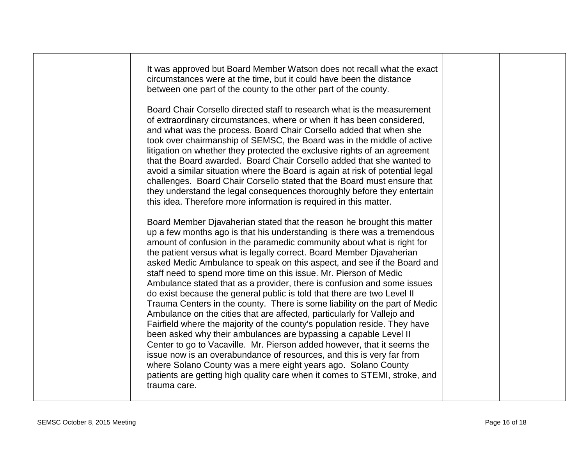| It was approved but Board Member Watson does not recall what the exact<br>circumstances were at the time, but it could have been the distance<br>between one part of the county to the other part of the county.<br>Board Chair Corsello directed staff to research what is the measurement<br>of extraordinary circumstances, where or when it has been considered,<br>and what was the process. Board Chair Corsello added that when she<br>took over chairmanship of SEMSC, the Board was in the middle of active<br>litigation on whether they protected the exclusive rights of an agreement<br>that the Board awarded. Board Chair Corsello added that she wanted to<br>avoid a similar situation where the Board is again at risk of potential legal<br>challenges. Board Chair Corsello stated that the Board must ensure that<br>they understand the legal consequences thoroughly before they entertain<br>this idea. Therefore more information is required in this matter.<br>Board Member Djavaherian stated that the reason he brought this matter<br>up a few months ago is that his understanding is there was a tremendous<br>amount of confusion in the paramedic community about what is right for<br>the patient versus what is legally correct. Board Member Djavaherian<br>asked Medic Ambulance to speak on this aspect, and see if the Board and<br>staff need to spend more time on this issue. Mr. Pierson of Medic<br>Ambulance stated that as a provider, there is confusion and some issues<br>do exist because the general public is told that there are two Level II<br>Trauma Centers in the county. There is some liability on the part of Medic<br>Ambulance on the cities that are affected, particularly for Vallejo and<br>Fairfield where the majority of the county's population reside. They have<br>been asked why their ambulances are bypassing a capable Level II<br>Center to go to Vacaville. Mr. Pierson added however, that it seems the<br>issue now is an overabundance of resources, and this is very far from<br>where Solano County was a mere eight years ago. Solano County | patients are getting high quality care when it comes to STEMI, stroke, and<br>trauma care. |  |  |  |
|------------------------------------------------------------------------------------------------------------------------------------------------------------------------------------------------------------------------------------------------------------------------------------------------------------------------------------------------------------------------------------------------------------------------------------------------------------------------------------------------------------------------------------------------------------------------------------------------------------------------------------------------------------------------------------------------------------------------------------------------------------------------------------------------------------------------------------------------------------------------------------------------------------------------------------------------------------------------------------------------------------------------------------------------------------------------------------------------------------------------------------------------------------------------------------------------------------------------------------------------------------------------------------------------------------------------------------------------------------------------------------------------------------------------------------------------------------------------------------------------------------------------------------------------------------------------------------------------------------------------------------------------------------------------------------------------------------------------------------------------------------------------------------------------------------------------------------------------------------------------------------------------------------------------------------------------------------------------------------------------------------------------------------------------------------------------------------------------------------------------------------|--------------------------------------------------------------------------------------------|--|--|--|
|                                                                                                                                                                                                                                                                                                                                                                                                                                                                                                                                                                                                                                                                                                                                                                                                                                                                                                                                                                                                                                                                                                                                                                                                                                                                                                                                                                                                                                                                                                                                                                                                                                                                                                                                                                                                                                                                                                                                                                                                                                                                                                                                    |                                                                                            |  |  |  |
|                                                                                                                                                                                                                                                                                                                                                                                                                                                                                                                                                                                                                                                                                                                                                                                                                                                                                                                                                                                                                                                                                                                                                                                                                                                                                                                                                                                                                                                                                                                                                                                                                                                                                                                                                                                                                                                                                                                                                                                                                                                                                                                                    |                                                                                            |  |  |  |
|                                                                                                                                                                                                                                                                                                                                                                                                                                                                                                                                                                                                                                                                                                                                                                                                                                                                                                                                                                                                                                                                                                                                                                                                                                                                                                                                                                                                                                                                                                                                                                                                                                                                                                                                                                                                                                                                                                                                                                                                                                                                                                                                    |                                                                                            |  |  |  |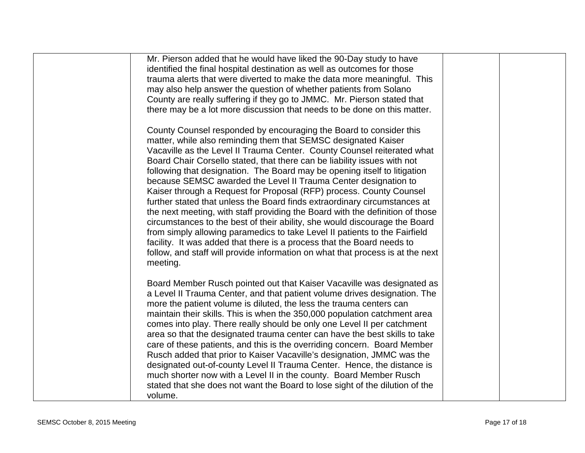| Mr. Pierson added that he would have liked the 90-Day study to have                                                                                        |  |
|------------------------------------------------------------------------------------------------------------------------------------------------------------|--|
| identified the final hospital destination as well as outcomes for those<br>trauma alerts that were diverted to make the data more meaningful. This         |  |
| may also help answer the question of whether patients from Solano                                                                                          |  |
| County are really suffering if they go to JMMC. Mr. Pierson stated that                                                                                    |  |
| there may be a lot more discussion that needs to be done on this matter.                                                                                   |  |
| County Counsel responded by encouraging the Board to consider this                                                                                         |  |
| matter, while also reminding them that SEMSC designated Kaiser                                                                                             |  |
| Vacaville as the Level II Trauma Center. County Counsel reiterated what                                                                                    |  |
| Board Chair Corsello stated, that there can be liability issues with not                                                                                   |  |
| following that designation. The Board may be opening itself to litigation                                                                                  |  |
| because SEMSC awarded the Level II Trauma Center designation to                                                                                            |  |
| Kaiser through a Request for Proposal (RFP) process. County Counsel                                                                                        |  |
| further stated that unless the Board finds extraordinary circumstances at<br>the next meeting, with staff providing the Board with the definition of those |  |
| circumstances to the best of their ability, she would discourage the Board                                                                                 |  |
| from simply allowing paramedics to take Level II patients to the Fairfield                                                                                 |  |
| facility. It was added that there is a process that the Board needs to                                                                                     |  |
| follow, and staff will provide information on what that process is at the next                                                                             |  |
| meeting.                                                                                                                                                   |  |
| Board Member Rusch pointed out that Kaiser Vacaville was designated as                                                                                     |  |
| a Level II Trauma Center, and that patient volume drives designation. The                                                                                  |  |
| more the patient volume is diluted, the less the trauma centers can                                                                                        |  |
| maintain their skills. This is when the 350,000 population catchment area                                                                                  |  |
| comes into play. There really should be only one Level II per catchment                                                                                    |  |
| area so that the designated trauma center can have the best skills to take                                                                                 |  |
| care of these patients, and this is the overriding concern. Board Member<br>Rusch added that prior to Kaiser Vacaville's designation, JMMC was the         |  |
| designated out-of-county Level II Trauma Center. Hence, the distance is                                                                                    |  |
| much shorter now with a Level II in the county. Board Member Rusch                                                                                         |  |
| stated that she does not want the Board to lose sight of the dilution of the                                                                               |  |
| volume.                                                                                                                                                    |  |